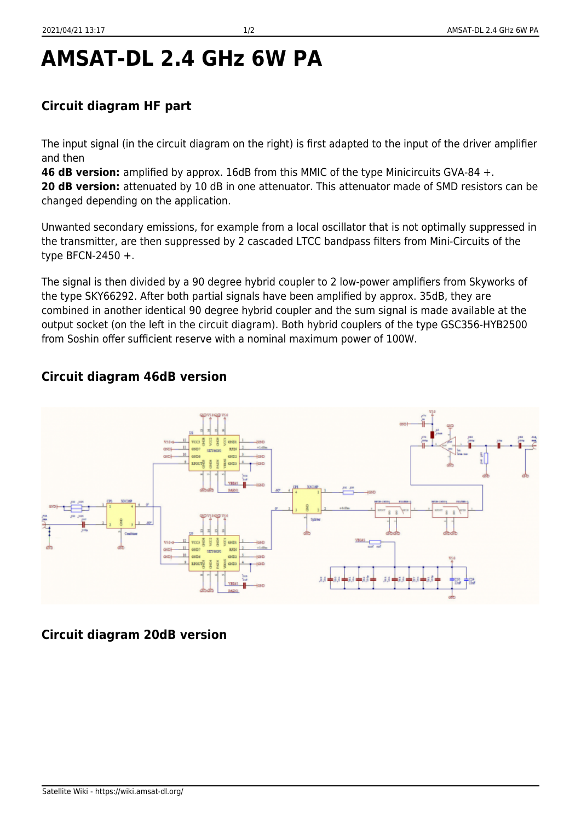## **AMSAT-DL 2.4 GHz 6W PA**

## **Circuit diagram HF part**

The input signal (in the circuit diagram on the right) is first adapted to the input of the driver amplifier and then

**46 dB version:** amplified by approx. 16dB from this MMIC of the type Minicircuits GVA-84 +.

20 dB version: attenuated by 10 dB in one attenuator. This attenuator made of SMD resistors can be changed depending on the application.

Unwanted secondary emissions, for example from a local oscillator that is not optimally suppressed in the transmitter, are then suppressed by 2 cascaded LTCC bandpass filters from Mini-Circuits of the type BFCN-2450 +.

The signal is then divided by a 90 degree hybrid coupler to 2 low-power amplifiers from Skyworks of the type SKY66292. After both partial signals have been amplified by approx. 35dB, they are combined in another identical 90 degree hybrid coupler and the sum signal is made available at the output socket (on the left in the circuit diagram). Both hybrid couplers of the type GSC356-HYB2500 from Soshin offer sufficient reserve with a nominal maximum power of 100W.

## **Circuit diagram 46dB version**



## **Circuit diagram 20dB version**